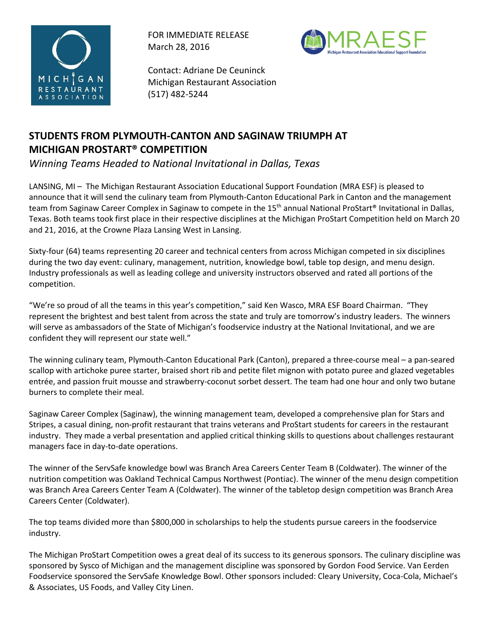

FOR IMMEDIATE RELEASE March 28, 2016



Contact: Adriane De Ceuninck Michigan Restaurant Association (517) 482-5244

# **STUDENTS FROM PLYMOUTH-CANTON AND SAGINAW TRIUMPH AT MICHIGAN PROSTART® COMPETITION**

*Winning Teams Headed to National Invitational in Dallas, Texas*

LANSING, MI – The Michigan Restaurant Association Educational Support Foundation (MRA ESF) is pleased to announce that it will send the culinary team from Plymouth-Canton Educational Park in Canton and the management team from Saginaw Career Complex in Saginaw to compete in the 15<sup>th</sup> annual National ProStart® Invitational in Dallas, Texas. Both teams took first place in their respective disciplines at the Michigan ProStart Competition held on March 20 and 21, 2016, at the Crowne Plaza Lansing West in Lansing.

Sixty-four (64) teams representing 20 career and technical centers from across Michigan competed in six disciplines during the two day event: culinary, management, nutrition, knowledge bowl, table top design, and menu design. Industry professionals as well as leading college and university instructors observed and rated all portions of the competition.

"We're so proud of all the teams in this year's competition," said Ken Wasco, MRA ESF Board Chairman. "They represent the brightest and best talent from across the state and truly are tomorrow's industry leaders. The winners will serve as ambassadors of the State of Michigan's foodservice industry at the National Invitational, and we are confident they will represent our state well."

The winning culinary team, Plymouth-Canton Educational Park (Canton), prepared a three-course meal – a pan-seared scallop with artichoke puree starter, braised short rib and petite filet mignon with potato puree and glazed vegetables entrée, and passion fruit mousse and strawberry-coconut sorbet dessert. The team had one hour and only two butane burners to complete their meal.

Saginaw Career Complex (Saginaw), the winning management team, developed a comprehensive plan for Stars and Stripes, a casual dining, non-profit restaurant that trains veterans and ProStart students for careers in the restaurant industry. They made a verbal presentation and applied critical thinking skills to questions about challenges restaurant managers face in day-to-date operations.

The winner of the ServSafe knowledge bowl was Branch Area Careers Center Team B (Coldwater). The winner of the nutrition competition was Oakland Technical Campus Northwest (Pontiac). The winner of the menu design competition was Branch Area Careers Center Team A (Coldwater). The winner of the tabletop design competition was Branch Area Careers Center (Coldwater).

The top teams divided more than \$800,000 in scholarships to help the students pursue careers in the foodservice industry.

The Michigan ProStart Competition owes a great deal of its success to its generous sponsors. The culinary discipline was sponsored by Sysco of Michigan and the management discipline was sponsored by Gordon Food Service. Van Eerden Foodservice sponsored the ServSafe Knowledge Bowl. Other sponsors included: Cleary University, Coca-Cola, Michael's & Associates, US Foods, and Valley City Linen.